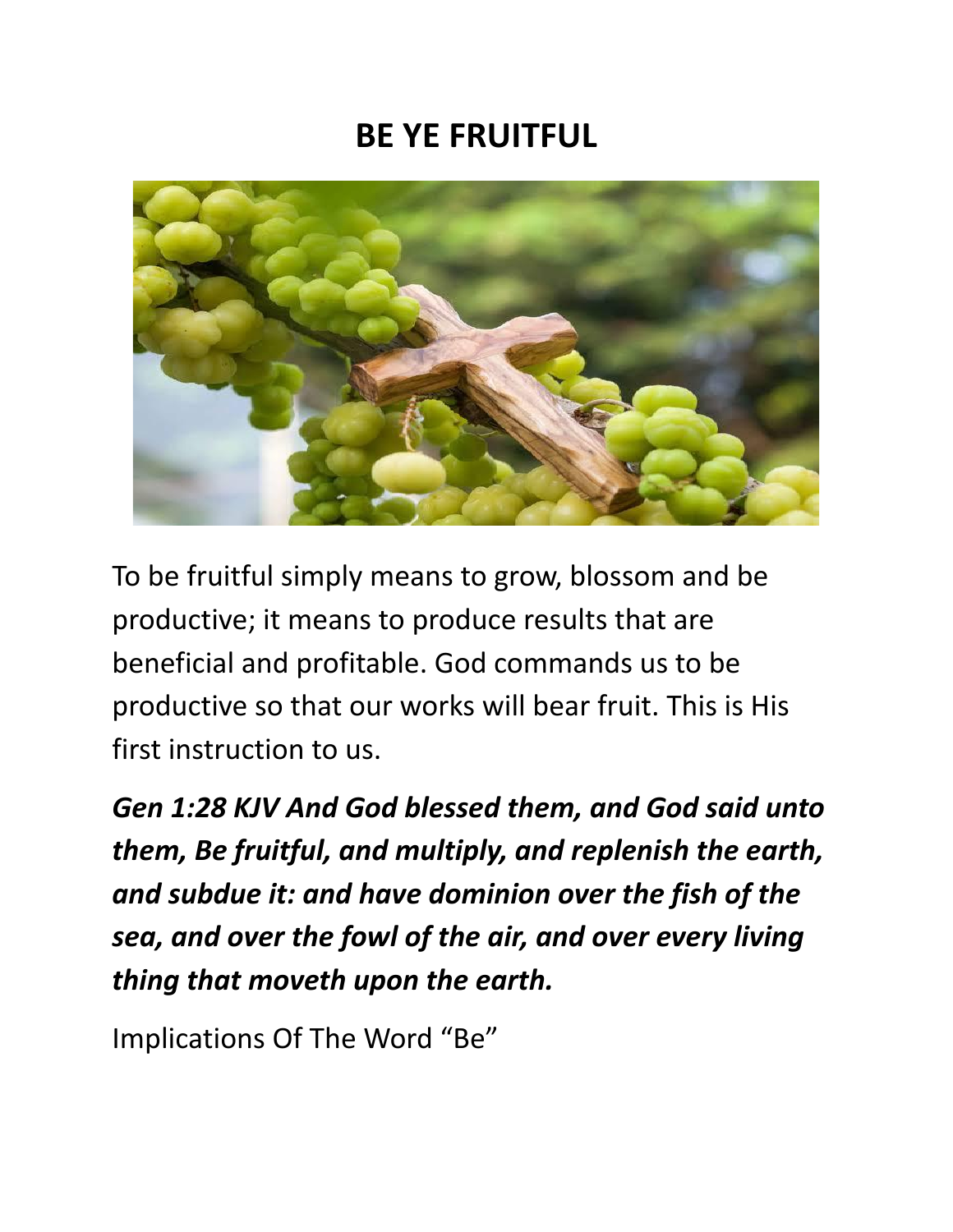#### **BE YE FRUITFUL**



To be fruitful simply means to grow, blossom and be productive; it means to produce results that are beneficial and profitable. God commands us to be productive so that our works will bear fruit. This is His first instruction to us.

*Gen 1:28 KJV And God blessed them, and God said unto them, Be fruitful, and multiply, and replenish the earth, and subdue it: and have dominion over the fish of the sea, and over the fowl of the air, and over every living thing that moveth upon the earth.*

Implications Of The Word "Be"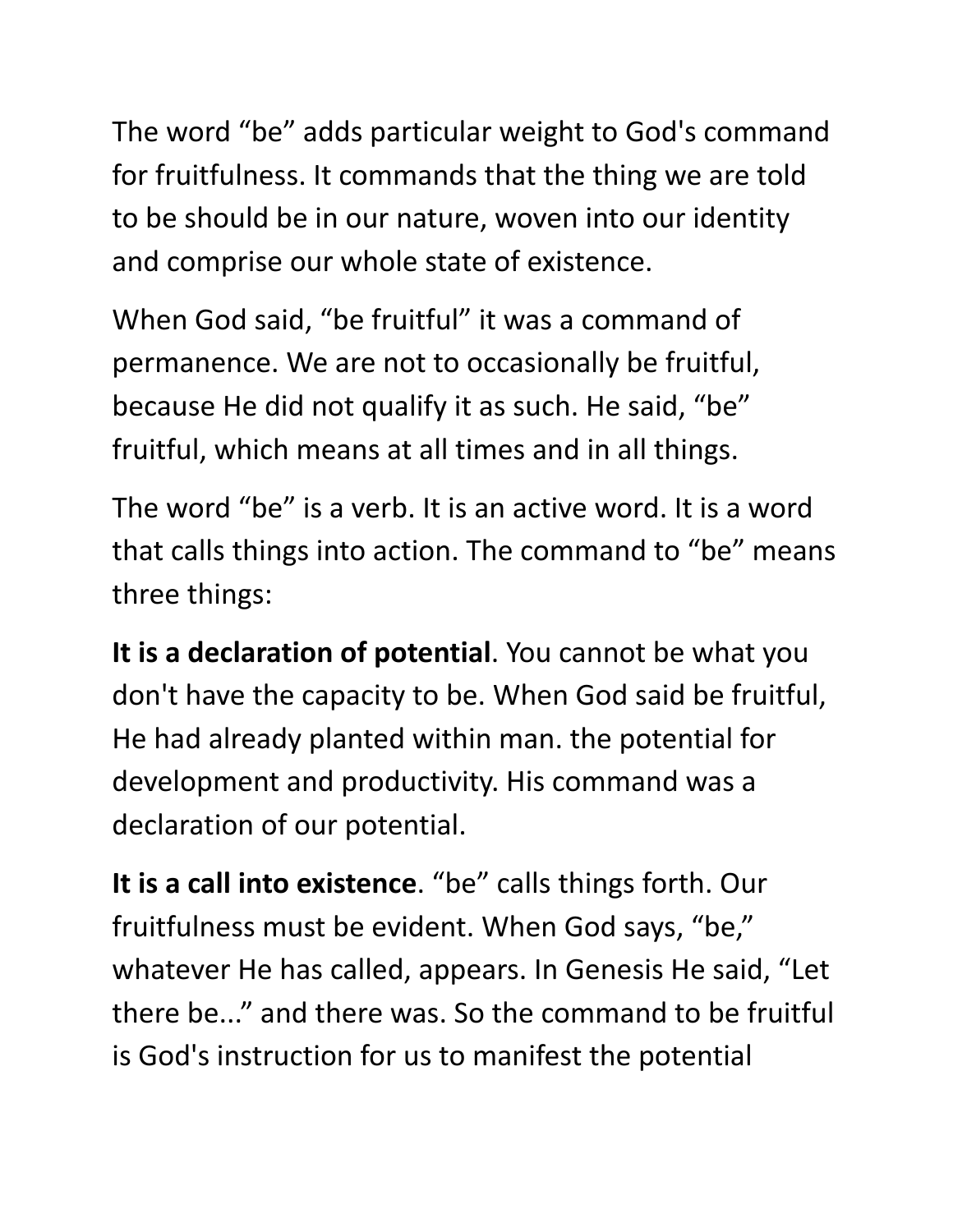The word "be" adds particular weight to God's command for fruitfulness. It commands that the thing we are told to be should be in our nature, woven into our identity and comprise our whole state of existence.

When God said, "be fruitful" it was a command of permanence. We are not to occasionally be fruitful, because He did not qualify it as such. He said, "be" fruitful, which means at all times and in all things.

The word "be" is a verb. It is an active word. It is a word that calls things into action. The command to "be" means three things:

**It is a declaration of potential**. You cannot be what you don't have the capacity to be. When God said be fruitful, He had already planted within man. the potential for development and productivity. His command was a declaration of our potential.

**It is a call into existence**. "be" calls things forth. Our fruitfulness must be evident. When God says, "be, " whatever He has called, appears. In Genesis He said, "Let there be..." and there was. So the command to be fruitful is God's instruction for us to manifest the potential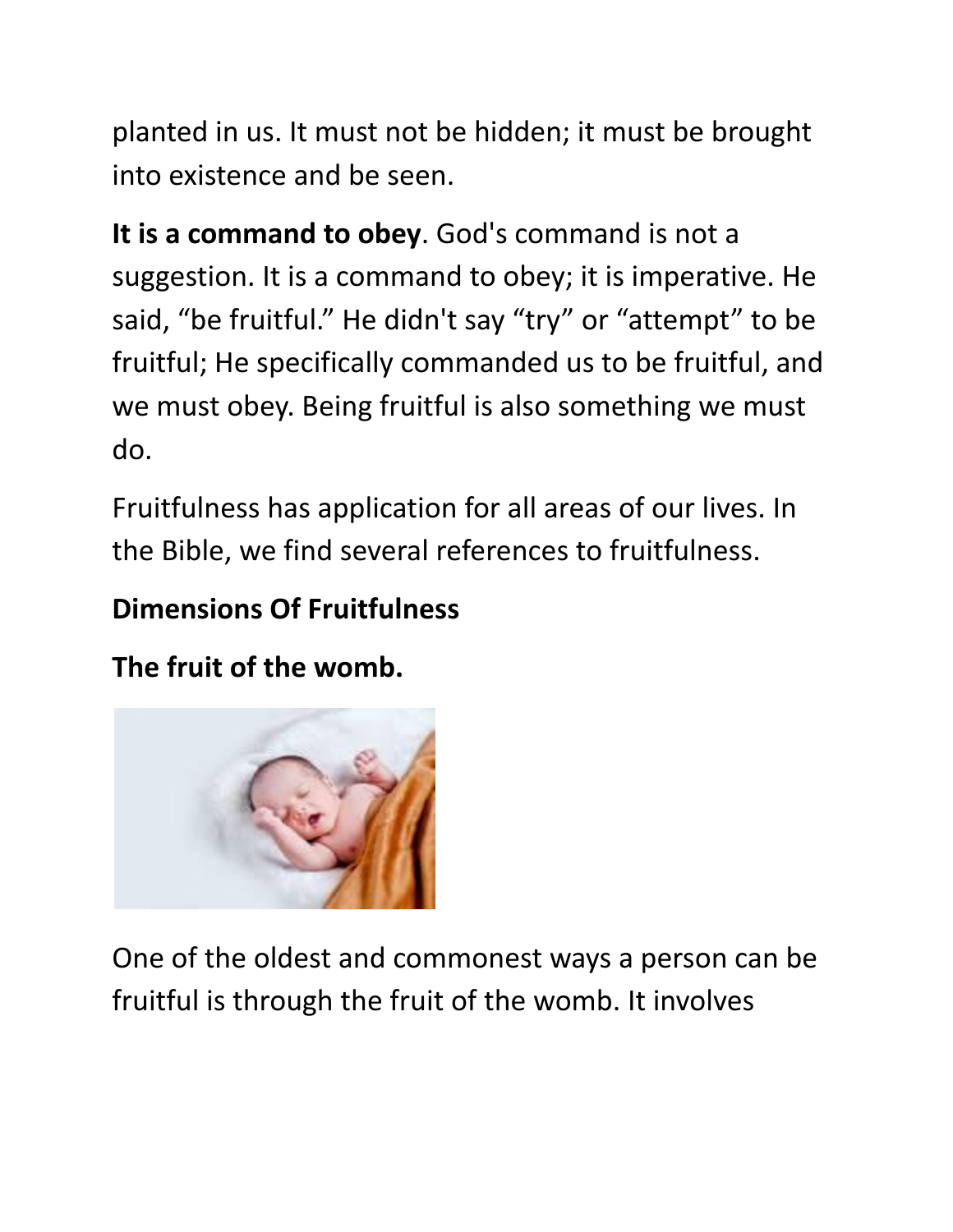planted in us. It must not be hidden; it must be brought into existence and be seen.

**It is a command to obey**. God's command is not a suggestion. It is a command to obey; it is imperative. He said, "be fruitful." He didn't say "try" or "attempt" to be fruitful; He specifically commanded us to be fruitful, and we must obey. Being fruitful is also something we must do.

Fruitfulness has application for all areas of our lives. In the Bible, we find several references to fruitfulness.

#### **Dimensions Of Fruitfulness**

**The fruit of the womb.**



One of the oldest and commonest ways a person can be fruitful is through the fruit of the womb. It involves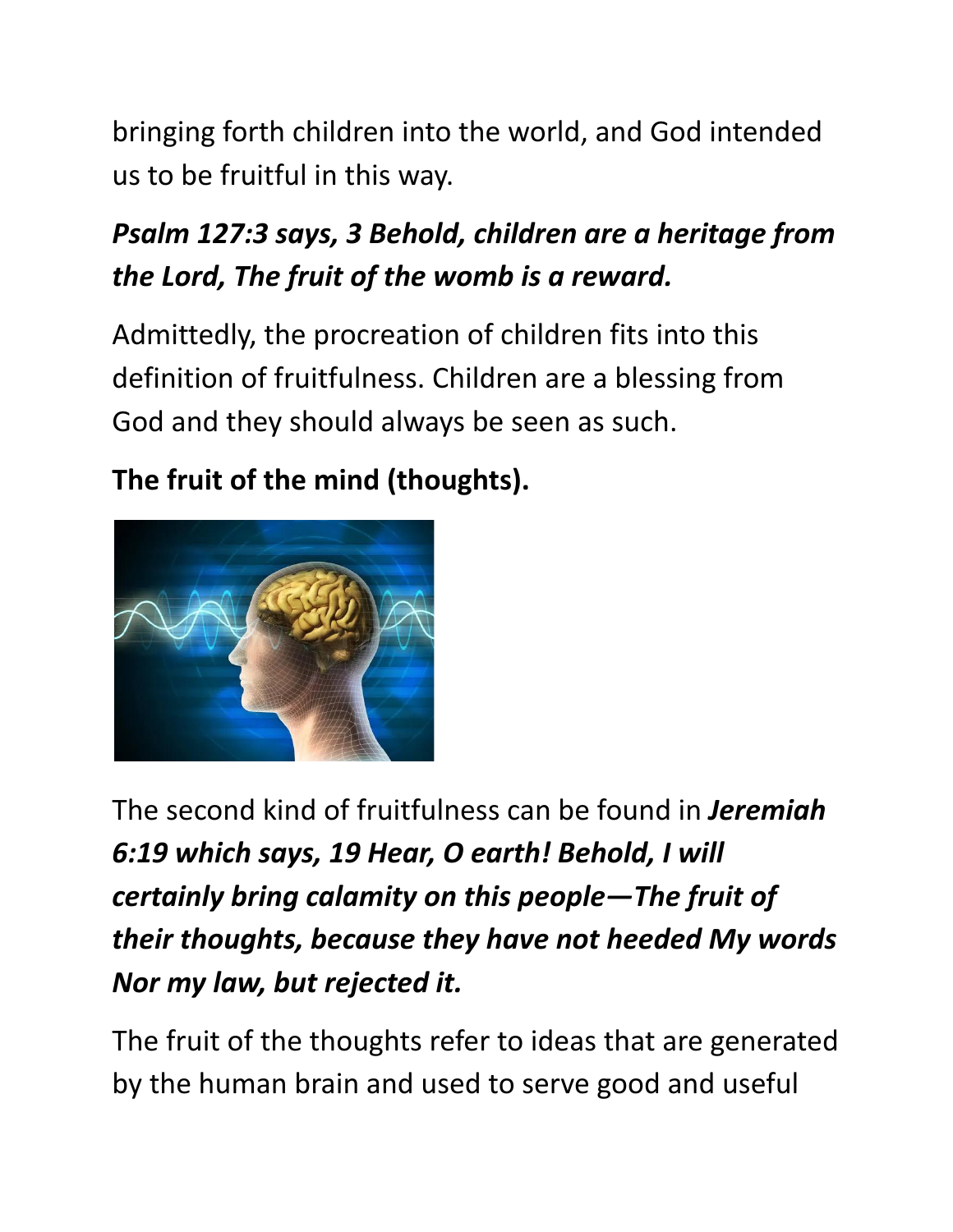bringing forth children into the world, and God intended us to be fruitful in this way.

## *Psalm 127:3 says, 3 Behold, children are a heritage from the Lord, The fruit of the womb is a reward.*

Admittedly, the procreation of children fits into this definition of fruitfulness. Children are a blessing from God and they should always be seen as such.

**The fruit of the mind (thoughts).**



The second kind of fruitfulness can be found in *Jeremiah 6:19 which says, 19 Hear, O earth! Behold, I will certainly bring calamity on this people—The fruit of their thoughts, because they have not heeded My words Nor my law, but rejected it.*

The fruit of the thoughts refer to ideas that are generated by the human brain and used to serve good and useful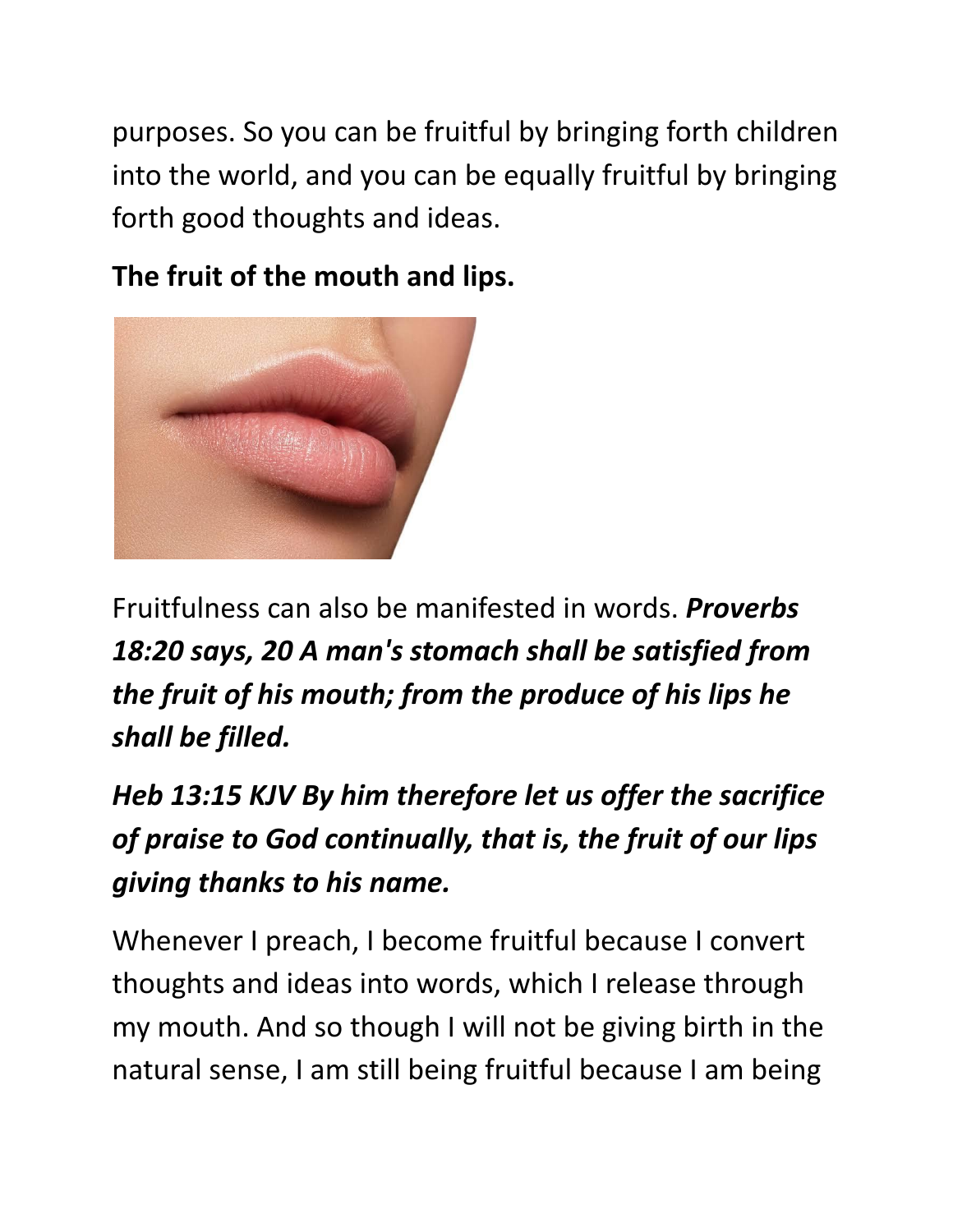purposes. So you can be fruitful by bringing forth children into the world, and you can be equally fruitful by bringing forth good thoughts and ideas.

**The fruit of the mouth and lips.**



Fruitfulness can also be manifested in words. *Proverbs 18:20 says, 20 A man's stomach shall be satisfied from the fruit of his mouth; from the produce of his lips he shall be filled.*

*Heb 13:15 KJV By him therefore let us offer the sacrifice of praise to God continually, that is, the fruit of our lips giving thanks to his name.*

Whenever I preach, I become fruitful because I convert thoughts and ideas into words, which I release through my mouth. And so though I will not be giving birth in the natural sense, I am still being fruitful because I am being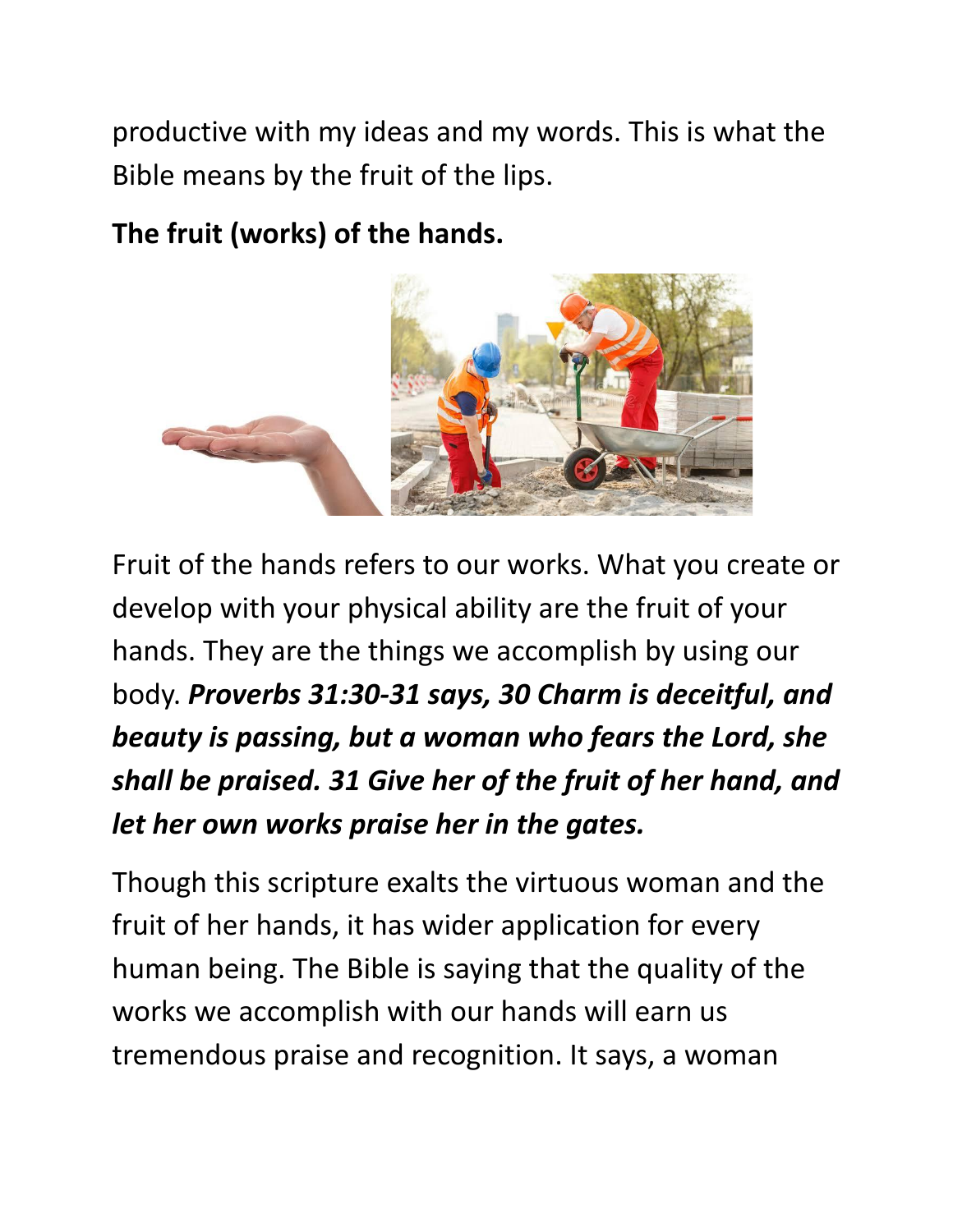productive with my ideas and my words. This is what the Bible means by the fruit of the lips.

**The fruit (works) of the hands.**



Fruit of the hands refers to our works. What you create or develop with your physical ability are the fruit of your hands. They are the things we accomplish by using our body. *Proverbs 31:30-31 says, 30 Charm is deceitful, and beauty is passing, but a woman who fears the Lord, she shall be praised. 31 Give her of the fruit of her hand, and let her own works praise her in the gates.*

Though this scripture exalts the virtuous woman and the fruit of her hands, it has wider application for every human being. The Bible is saying that the quality of the works we accomplish with our hands will earn us tremendous praise and recognition. It says, a woman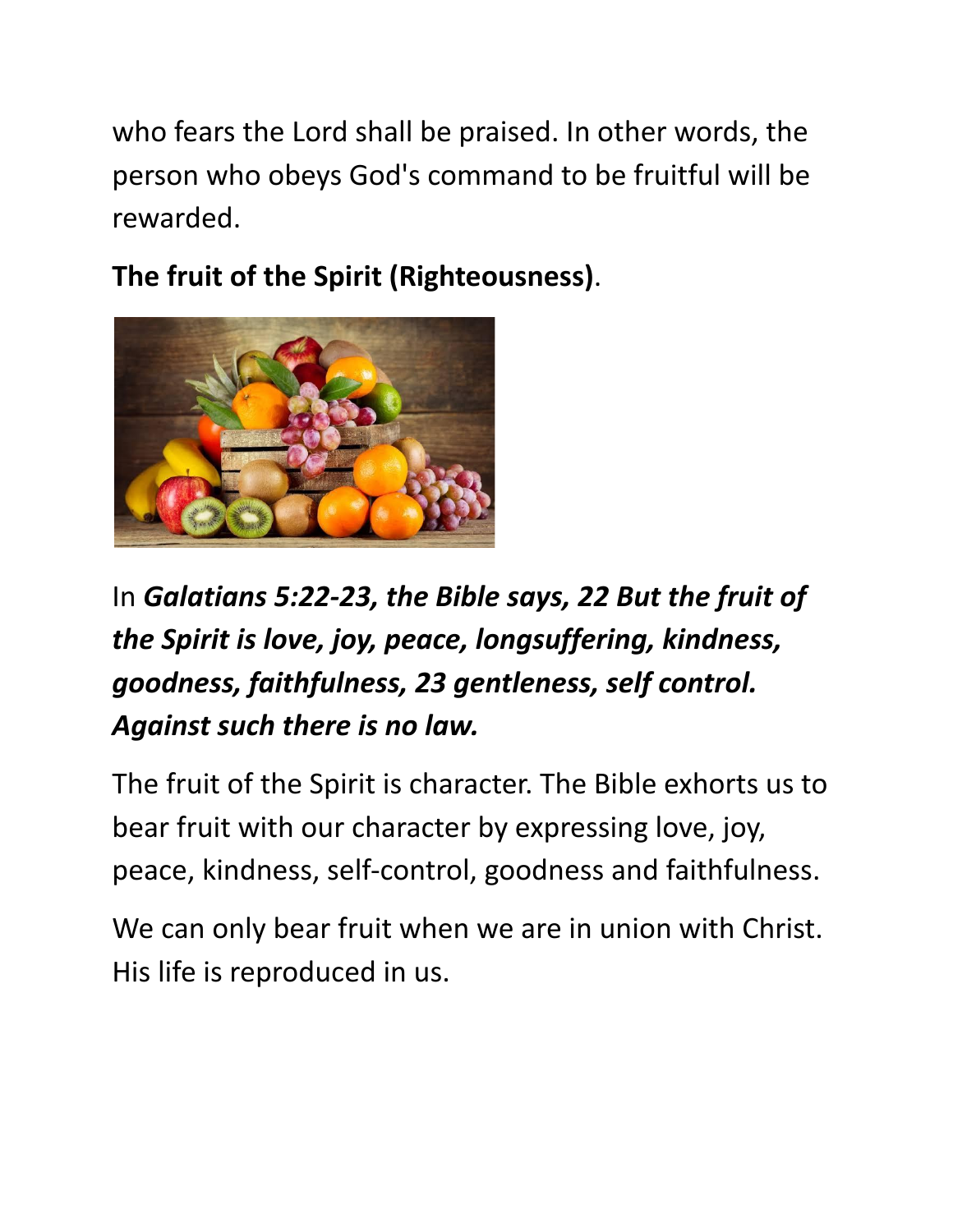who fears the Lord shall be praised. In other words, the person who obeys God's command to be fruitful will be rewarded.

**The fruit of the Spirit (Righteousness)**.



# In *Galatians 5:22-23, the Bible says, 22 But the fruit of the Spirit is love, joy, peace, longsuffering, kindness, goodness, faithfulness, 23 gentleness, self control. Against such there is no law.*

The fruit of the Spirit is character. The Bible exhorts us to bear fruit with our character by expressing love, joy, peace, kindness, self-control, goodness and faithfulness.

We can only bear fruit when we are in union with Christ. His life is reproduced in us.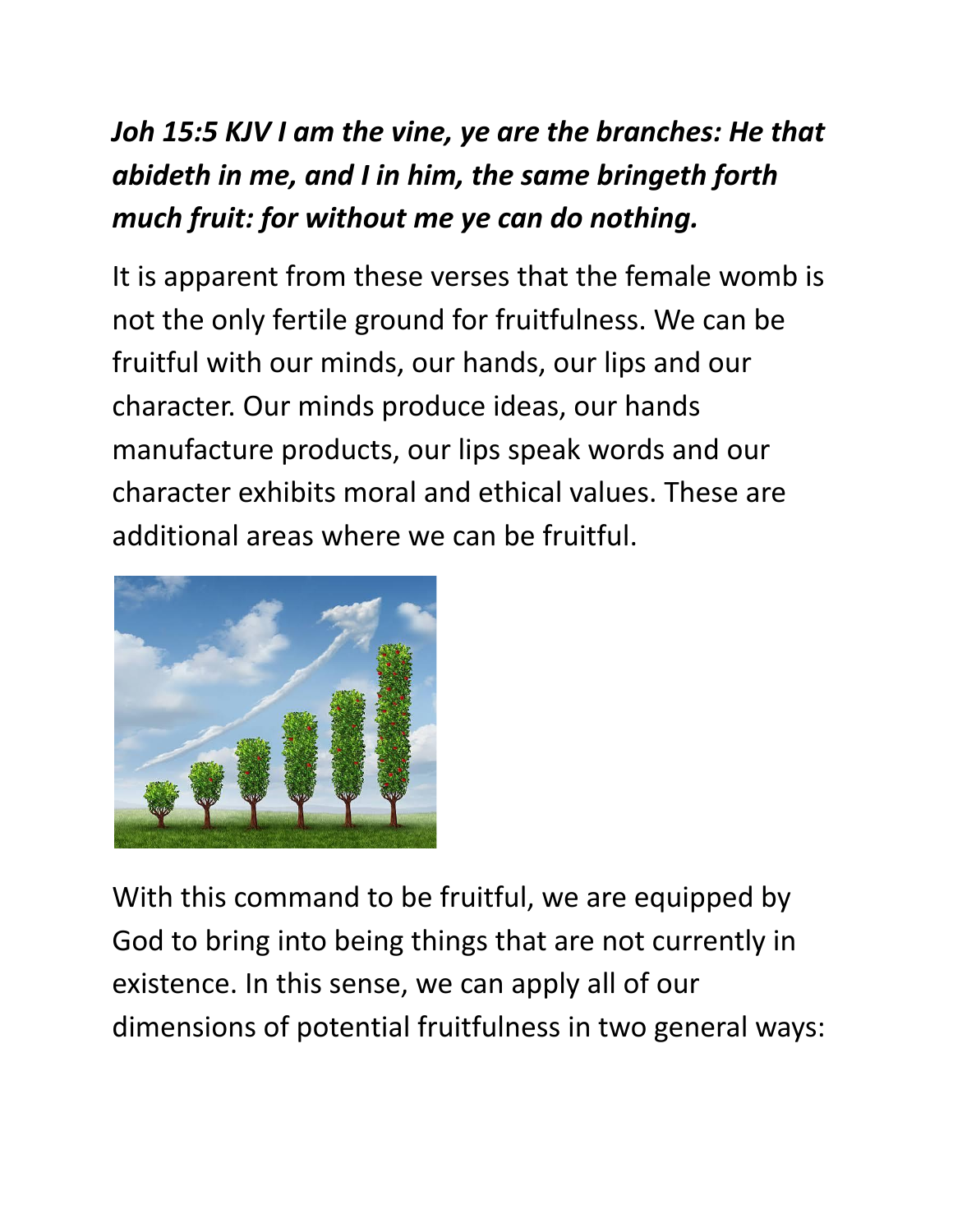## *Joh 15:5 KJV I am the vine, ye are the branches: He that abideth in me, and I in him, the same bringeth forth much fruit: for without me ye can do nothing.*

It is apparent from these verses that the female womb is not the only fertile ground for fruitfulness. We can be fruitful with our minds, our hands, our lips and our character. Our minds produce ideas, our hands manufacture products, our lips speak words and our character exhibits moral and ethical values. These are additional areas where we can be fruitful.



With this command to be fruitful, we are equipped by God to bring into being things that are not currently in existence. In this sense, we can apply all of our dimensions of potential fruitfulness in two general ways: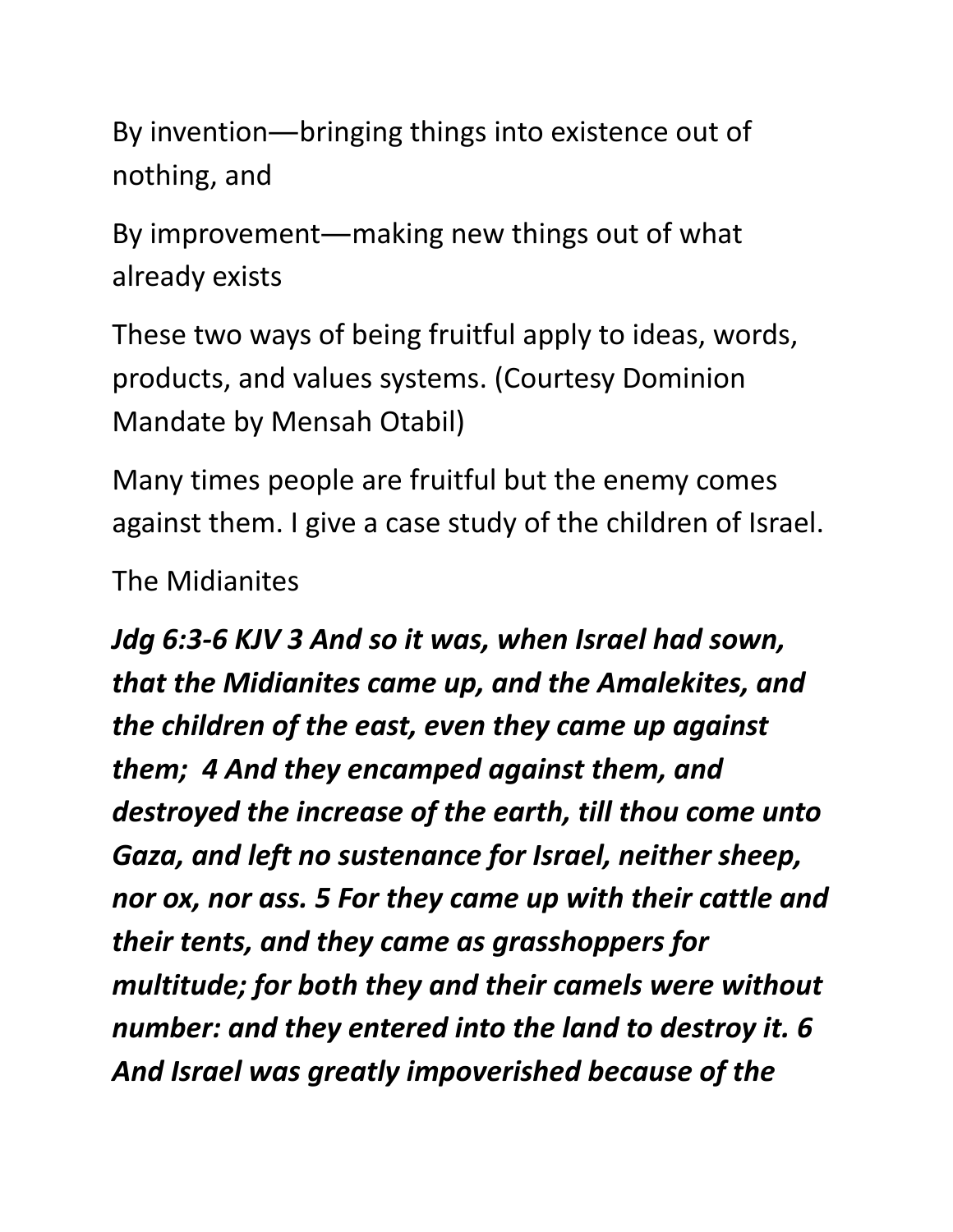By invention―bringing things into existence out of nothing, and

By improvement―making new things out of what already exists

These two ways of being fruitful apply to ideas, words, products, and values systems. (Courtesy Dominion Mandate by Mensah Otabil)

Many times people are fruitful but the enemy comes against them. I give a case study of the children of Israel.

The Midianites

*Jdg 6:3-6 KJV 3 And so it was, when Israel had sown, that the Midianites came up, and the Amalekites, and the children of the east, even they came up against them; 4 And they encamped against them, and destroyed the increase of the earth, till thou come unto Gaza, and left no sustenance for Israel, neither sheep, nor ox, nor ass. 5 For they came up with their cattle and their tents, and they came as grasshoppers for multitude; for both they and their camels were without number: and they entered into the land to destroy it. 6 And Israel was greatly impoverished because of the*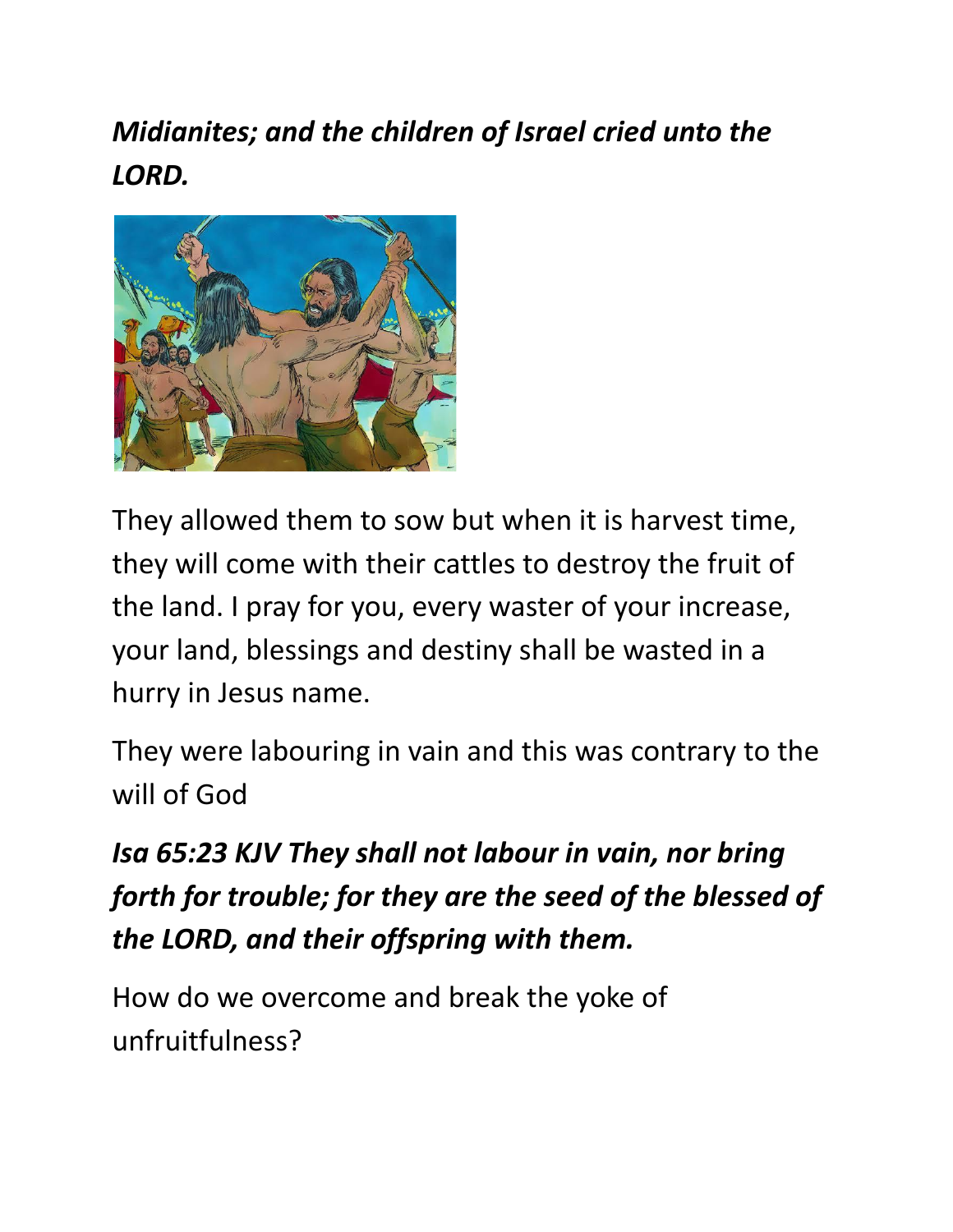*Midianites; and the children of Israel cried unto the LORD.*



They allowed them to sow but when it is harvest time, they will come with their cattles to destroy the fruit of the land. I pray for you, every waster of your increase, your land, blessings and destiny shall be wasted in a hurry in Jesus name.

They were labouring in vain and this was contrary to the will of God

## *Isa 65:23 KJV They shall not labour in vain, nor bring forth for trouble; for they are the seed of the blessed of the LORD, and their offspring with them.*

How do we overcome and break the yoke of unfruitfulness?